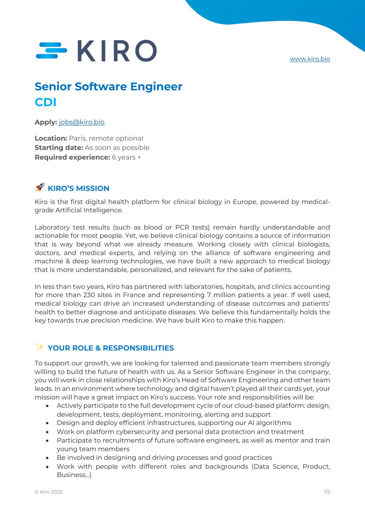www.kiro.bio

# $SKIRO$

# **Senior Software Engineer CDI**

#### **Apply:** jobs@kiro.bio

**Location:** Paris, remote optional **Starting date:** As soon as possible **Required experience:** 6 years +

## **KIRO'S MISSION**

Kiro is the first digital health platform for clinical biology in Europe, powered by medicalgrade Artificial Intelligence.

Laboratory test results (such as blood or PCR tests) remain hardly understandable and actionable for most people. Yet, we believe clinical biology contains a source of information that is way beyond what we already measure. Working closely with clinical biologists, doctors, and medical experts, and relying on the alliance of software engineering and machine & deep learning technologies, we have built a new approach to medical biology that is more understandable, personalized, and relevant for the sake of patients.

In less than two years, Kiro has partnered with laboratories, hospitals, and clinics accounting for more than 230 sites in France and representing 7 million patients a year. If well used, medical biology can drive an increased understanding of disease outcomes and patients' health to better diagnose and anticipate diseases. We believe this fundamentally holds the key towards true precision medicine. We have built Kiro to make this happen.

### ✨ **YOUR ROLE & RESPONSIBILITIES**

To support our growth, we are looking for talented and passionate team members strongly willing to build the future of health with us. As a Senior Software Engineer in the company, you will work in close relationships with Kiro's Head of Software Engineering and other team leads. In an environment where technology and digital haven't played all their cards yet, your mission will have a great impact on Kiro's success. Your role and responsibilities will be:

- Actively participate to the full development cycle of our cloud-based platform: design, development, tests, deployment, monitoring, alerting and support
- Design and deploy efficient infrastructures, supporting our AI algorithms
- Work on platform cybersecurity and personal data protection and treatment
- Participate to recruitments of future software engineers, as well as mentor and train young team members
- Be involved in designing and driving processes and good practices
- Work with people with different roles and backgrounds (Data Science, Product, Business...)